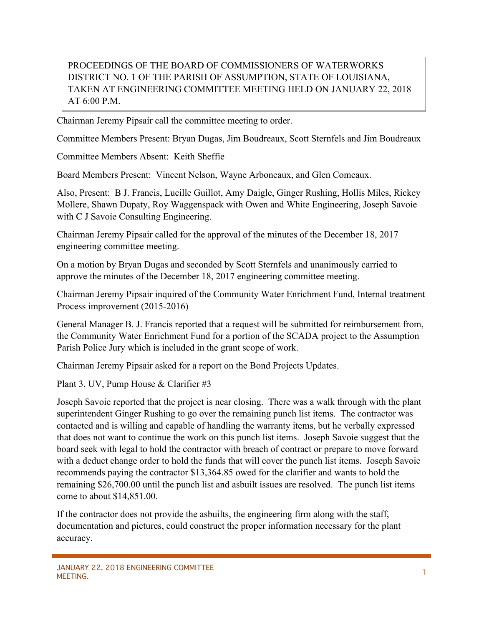## PROCEEDINGS OF THE BOARD OF COMMISSIONERS OF WATERWORKS DISTRICT NO. 1 OF THE PARISH OF ASSUMPTION, STATE OF LOUISIANA, TAKEN AT ENGINEERING COMMITTEE MEETING HELD ON JANUARY 22, 2018 AT 6:00 P.M.

Chairman Jeremy Pipsair call the committee meeting to order.

Committee Members Present: Bryan Dugas, Jim Boudreaux, Scott Sternfels and Jim Boudreaux

Committee Members Absent: Keith Sheffie

Board Members Present: Vincent Nelson, Wayne Arboneaux, and Glen Comeaux.

Also, Present: B J. Francis, Lucille Guillot, Amy Daigle, Ginger Rushing, Hollis Miles, Rickey Mollere, Shawn Dupaty, Roy Waggenspack with Owen and White Engineering, Joseph Savoie with C J Savoie Consulting Engineering.

Chairman Jeremy Pipsair called for the approval of the minutes of the December 18, 2017 engineering committee meeting.

On a motion by Bryan Dugas and seconded by Scott Sternfels and unanimously carried to approve the minutes of the December 18, 2017 engineering committee meeting.

Chairman Jeremy Pipsair inquired of the Community Water Enrichment Fund, Internal treatment Process improvement (2015-2016)

General Manager B. J. Francis reported that a request will be submitted for reimbursement from, the Community Water Enrichment Fund for a portion of the SCADA project to the Assumption Parish Police Jury which is included in the grant scope of work.

Chairman Jeremy Pipsair asked for a report on the Bond Projects Updates.

Plant 3, UV, Pump House & Clarifier #3

Joseph Savoie reported that the project is near closing. There was a walk through with the plant superintendent Ginger Rushing to go over the remaining punch list items. The contractor was contacted and is willing and capable of handling the warranty items, but he verbally expressed that does not want to continue the work on this punch list items. Joseph Savoie suggest that the board seek with legal to hold the contractor with breach of contract or prepare to move forward with a deduct change order to hold the funds that will cover the punch list items. Joseph Savoie recommends paying the contractor \$13,364.85 owed for the clarifier and wants to hold the remaining \$26,700.00 until the punch list and asbuilt issues are resolved. The punch list items come to about \$14,851.00.

If the contractor does not provide the asbuilts, the engineering firm along with the staff, documentation and pictures, could construct the proper information necessary for the plant accuracy.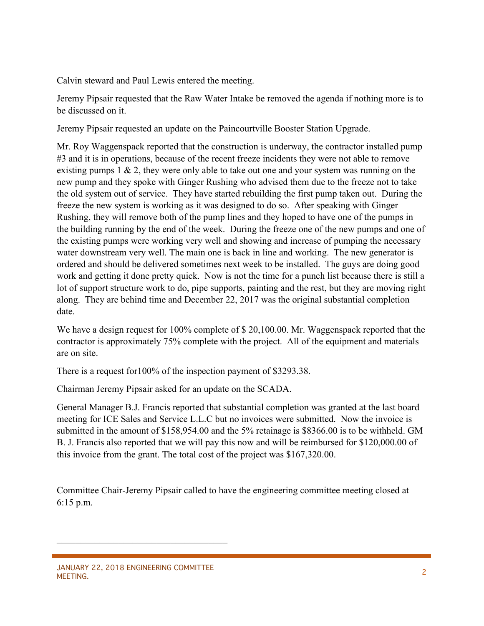Calvin steward and Paul Lewis entered the meeting.

Jeremy Pipsair requested that the Raw Water Intake be removed the agenda if nothing more is to be discussed on it.

Jeremy Pipsair requested an update on the Paincourtville Booster Station Upgrade.

Mr. Roy Waggenspack reported that the construction is underway, the contractor installed pump #3 and it is in operations, because of the recent freeze incidents they were not able to remove existing pumps  $1 \& 2$ , they were only able to take out one and your system was running on the new pump and they spoke with Ginger Rushing who advised them due to the freeze not to take the old system out of service. They have started rebuilding the first pump taken out. During the freeze the new system is working as it was designed to do so. After speaking with Ginger Rushing, they will remove both of the pump lines and they hoped to have one of the pumps in the building running by the end of the week. During the freeze one of the new pumps and one of the existing pumps were working very well and showing and increase of pumping the necessary water downstream very well. The main one is back in line and working. The new generator is ordered and should be delivered sometimes next week to be installed. The guys are doing good work and getting it done pretty quick. Now is not the time for a punch list because there is still a lot of support structure work to do, pipe supports, painting and the rest, but they are moving right along. They are behind time and December 22, 2017 was the original substantial completion date.

We have a design request for 100% complete of \$20,100.00. Mr. Waggenspack reported that the contractor is approximately 75% complete with the project. All of the equipment and materials are on site.

There is a request for100% of the inspection payment of \$3293.38.

Chairman Jeremy Pipsair asked for an update on the SCADA.

General Manager B.J. Francis reported that substantial completion was granted at the last board meeting for ICE Sales and Service L.L.C but no invoices were submitted. Now the invoice is submitted in the amount of \$158,954.00 and the 5% retainage is \$8366.00 is to be withheld. GM B. J. Francis also reported that we will pay this now and will be reimbursed for \$120,000.00 of this invoice from the grant. The total cost of the project was \$167,320.00.

Committee Chair-Jeremy Pipsair called to have the engineering committee meeting closed at 6:15 p.m.

 $\mathcal{L}_\text{max}$